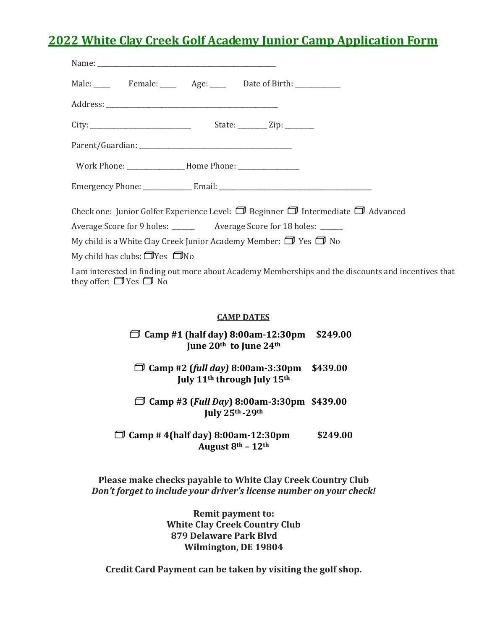## **2022 White Clay Creek Golf Academy Junior Camp Application Form**

| Male: Female: Age: Date of Birth:                                                                                                       |  |  |
|-----------------------------------------------------------------------------------------------------------------------------------------|--|--|
|                                                                                                                                         |  |  |
|                                                                                                                                         |  |  |
|                                                                                                                                         |  |  |
|                                                                                                                                         |  |  |
|                                                                                                                                         |  |  |
| Check one: Junior Golfer Experience Level: $\Box$ Beginner $\Box$ Intermediate $\Box$ Advanced                                          |  |  |
| Average Score for 9 holes: _______ Average Score for 18 holes: _____                                                                    |  |  |
| My child is a White Clay Creek Junior Academy Member: $\Box$ Yes $\Box$ No                                                              |  |  |
| My child has clubs: $\Box$ Yes $\Box$ No                                                                                                |  |  |
| I am interested in finding out more about Academy Memberships and the discounts and incentives that<br>they offer: $\Box$ Yes $\Box$ No |  |  |
|                                                                                                                                         |  |  |
| <b>CAMP DATES</b>                                                                                                                       |  |  |
| Camp #1 (half day) 8:00am-12:30pm \$249.00                                                                                              |  |  |

**June 20th to June 24th**

**Camp #2 (***full day)* **8:00am-3:30pm \$439.00 July 11th through July 15th**

**Camp #3 (***Full Day***) 8:00am-3:30pm \$439.00 July 25th -29th**

 **Camp # 4(half day) 8:00am-12:30pm \$249.00 August 8th – 12th**

**Please make checks payable to White Clay Creek Country Club** *Don't forget to include your driver's license number on your check!*

> **Remit payment to: White Clay Creek Country Club 879 Delaware Park Blvd Wilmington, DE 19804**

**Credit Card Payment can be taken by visiting the golf shop.**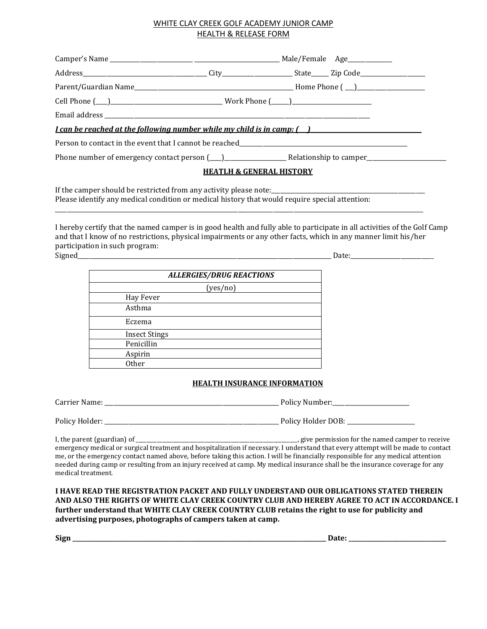### WHITE CLAY CREEK GOLF ACADEMY JUNIOR CAMP HEALTH & RELEASE FORM

| <u>I can be reached at the following number while my child is in camp: ( ) [ [ ]</u> |  |  |  |  |
|--------------------------------------------------------------------------------------|--|--|--|--|
|                                                                                      |  |  |  |  |
|                                                                                      |  |  |  |  |
| <b>HEATLH &amp; GENERAL HISTORY</b>                                                  |  |  |  |  |
|                                                                                      |  |  |  |  |

Please identify any medical condition or medical history that would require special attention:

I hereby certify that the named camper is in good health and fully able to participate in all activities of the Golf Camp and that I know of no restrictions, physical impairments or any other facts, which in any manner limit his/her participation in such program: Signed Date:

\_\_\_\_\_\_\_\_\_\_\_\_\_\_\_\_\_\_\_\_\_\_\_\_\_\_\_\_\_\_\_\_\_\_\_\_\_\_\_\_\_\_\_\_\_\_\_\_\_\_\_\_\_\_\_\_\_\_\_\_\_\_\_\_\_\_\_\_\_\_\_\_\_\_\_\_\_\_\_\_\_\_\_\_\_\_\_\_\_\_\_\_\_\_\_\_\_\_\_\_\_\_\_\_\_\_\_\_\_\_\_\_\_\_\_\_\_\_\_\_\_\_\_\_\_

|                      | <b>ALLERGIES/DRUG REACTIONS</b> |
|----------------------|---------------------------------|
|                      | (yes/no)                        |
| Hay Fever            |                                 |
| Asthma               |                                 |
| Eczema               |                                 |
| <b>Insect Stings</b> |                                 |
| Penicillin           |                                 |
| Aspirin              |                                 |
| Other                |                                 |

#### **HEALTH INSURANCE INFORMATION**

| Carrier Name:  | Policy Number:     |  |  |
|----------------|--------------------|--|--|
| Policy Holder: | Policy Holder DOB: |  |  |

I, the parent (guardian) of \_\_\_\_\_\_\_\_\_\_\_\_\_\_\_\_\_\_\_\_\_\_\_\_\_\_\_\_\_\_\_\_\_\_\_\_\_\_\_\_\_\_\_\_\_\_\_\_\_\_\_\_\_\_\_\_\_\_\_\_\_, give permission for the named camper to receive emergency medical or surgical treatment and hospitalization if necessary. I understand that every attempt will be made to contact me, or the emergency contact named above, before taking this action. I will be financially responsible for any medical attention needed during camp or resulting from an injury received at camp. My medical insurance shall be the insurance coverage for any medical treatment.

**I HAVE READ THE REGISTRATION PACKET AND FULLY UNDERSTAND OUR OBLIGATIONS STATED THEREIN AND ALSO THE RIGHTS OF WHITE CLAY CREEK COUNTRY CLUB AND HEREBY AGREE TO ACT IN ACCORDANCE. I further understand that WHITE CLAY CREEK COUNTRY CLUB retains the right to use for publicity and advertising purposes, photographs of campers taken at camp.** 

**Sign \_\_\_\_\_\_\_\_\_\_\_\_\_\_\_\_\_\_\_\_\_\_\_\_\_\_\_\_\_\_\_\_\_\_\_\_\_\_\_\_\_\_\_\_\_\_\_\_\_\_\_\_\_\_\_\_\_\_\_\_\_\_\_\_\_\_\_\_\_\_\_\_\_\_\_\_\_\_\_\_\_\_\_\_\_\_ Date: \_\_\_\_\_\_\_\_\_\_\_\_\_\_\_\_\_\_\_\_\_\_\_\_\_\_\_\_\_\_\_\_\_**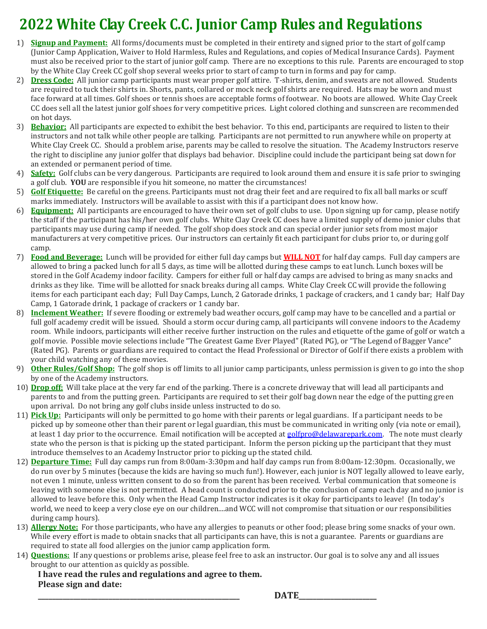# **2022 White Clay Creek C.C. Junior Camp Rules and Regulations**

- 1) **Signup and Payment:** All forms/documents must be completed in their entirety and signed prior to the start of golf camp (Junior Camp Application, Waiver to Hold Harmless, Rules and Regulations, and copies of Medical Insurance Cards). Payment must also be received prior to the start of junior golf camp. There are no exceptions to this rule. Parents are encouraged to stop by the White Clay Creek CC golf shop several weeks prior to start of camp to turn in forms and pay for camp.
- 2) **Dress Code:** All junior camp participants must wear proper golf attire. T-shirts, denim, and sweats are not allowed. Students are required to tuck their shirts in. Shorts, pants, collared or mock neck golf shirts are required. Hats may be worn and must face forward at all times. Golf shoes or tennis shoes are acceptable forms of footwear. No boots are allowed. White Clay Creek CC does sell all the latest junior golf shoes for very competitive prices. Light colored clothing and sunscreen are recommended on hot days.
- 3) **Behavior:** All participants are expected to exhibit the best behavior. To this end, participants are required to listen to their instructors and not talk while other people are talking. Participants are not permitted to run anywhere while on property at White Clay Creek CC. Should a problem arise, parents may be called to resolve the situation. The Academy Instructors reserve the right to discipline any junior golfer that displays bad behavior. Discipline could include the participant being sat down for an extended or permanent period of time.
- 4) **Safety:** Golf clubs can be very dangerous. Participants are required to look around them and ensure it is safe prior to swinging a golf club. **YOU** are responsible if you hit someone, no matter the circumstances!
- 5) **Golf Etiquette:** Be careful on the greens. Participants must not drag their feet and are required to fix all ball marks or scuff marks immediately. Instructors will be available to assist with this if a participant does not know how.
- 6) **Equipment:** All participants are encouraged to have their own set of golf clubs to use. Upon signing up for camp, please notify the staff if the participant has his/her own golf clubs. White Clay Creek CC does have a limited supply of demo junior clubs that participants may use during camp if needed. The golf shop does stock and can special order junior sets from most major manufacturers at very competitive prices. Our instructors can certainly fit each participant for clubs prior to, or during golf camp.
- 7) **Food and Beverage:** Lunch will be provided for either full day camps but **WILL NOT** for half day camps. Full day campers are allowed to bring a packed lunch for all 5 days, as time will be allotted during these camps to eat lunch. Lunch boxes will be stored in the Golf Academy indoor facility. Campers for either full or half day camps are advised to bring as many snacks and drinks as they like. Time will be allotted for snack breaks during all camps. White Clay Creek CC will provide the following items for each participant each day; Full Day Camps, Lunch, 2 Gatorade drinks, 1 package of crackers, and 1 candy bar; Half Day Camp, 1 Gatorade drink, 1 package of crackers or 1 candy bar.
- 8) **Inclement Weather:** If severe flooding or extremely bad weather occurs, golf camp may have to be cancelled and a partial or full golf academy credit will be issued. Should a storm occur during camp, all participants will convene indoors to the Academy room. While indoors, participants will either receive further instruction on the rules and etiquette of the game of golf or watch a golf movie. Possible movie selections include "The Greatest Game Ever Played" (Rated PG), or "The Legend of Bagger Vance" (Rated PG). Parents or guardians are required to contact the Head Professional or Director of Golf if there exists a problem with your child watching any of these movies.
- 9) **Other Rules/Golf Shop:** The golf shop is off limits to all junior camp participants, unless permission is given to go into the shop by one of the Academy instructors.
- 10) **Drop off:** Will take place at the very far end of the parking. There is a concrete driveway that will lead all participants and parents to and from the putting green. Participants are required to set their golf bag down near the edge of the putting green upon arrival. Do not bring any golf clubs inside unless instructed to do so.
- 11) **Pick Up:** Participants will only be permitted to go home with their parents or legal guardians. If a participant needs to be picked up by someone other than their parent or legal guardian, this must be communicated in writing only (via note or email), at least 1 day prior to the occurrence. Email notification will be accepted a[t golfpro@delawarepark.com.](mailto:golfpro@delawarepark.com) The note must clearly state who the person is that is picking up the stated participant. Inform the person picking up the participant that they must introduce themselves to an Academy Instructor prior to picking up the stated child.
- 12) **Departure Time:** Full day camps run from 8:00am-3:30pm and half day camps run from 8:00am-12:30pm. Occasionally, we do run over by 5 minutes (because the kids are having so much fun!). However, each junior is NOT legally allowed to leave early, not even 1 minute, unless written consent to do so from the parent has been received. Verbal communication that someone is leaving with someone else is not permitted. A head count is conducted prior to the conclusion of camp each day and no junior is allowed to leave before this. Only when the Head Camp Instructor indicates is it okay for participants to leave! (In today's world, we need to keep a very close eye on our children....and WCC will not compromise that situation or our responsibilities during camp hours).
- 13) **Allergy Note:** For those participants, who have any allergies to peanuts or other food; please bring some snacks of your own. While every effort is made to obtain snacks that all participants can have, this is not a guarantee. Parents or guardians are required to state all food allergies on the junior camp application form.
- 14) **Questions:** If any questions or problems arise, please feel free to ask an instructor. Our goal is to solve any and all issues brought to our attention as quickly as possible.

**I have read the rules and regulations and agree to them. Please sign and date:**

**\_\_\_\_\_\_\_\_\_\_\_\_\_\_\_\_\_\_\_\_\_\_\_\_\_\_\_\_\_\_\_\_\_\_\_\_\_\_\_\_\_\_\_\_\_\_\_\_\_\_\_\_\_\_\_\_\_ DATE\_\_\_\_\_\_\_\_\_\_\_\_\_\_\_\_\_\_\_\_\_\_**